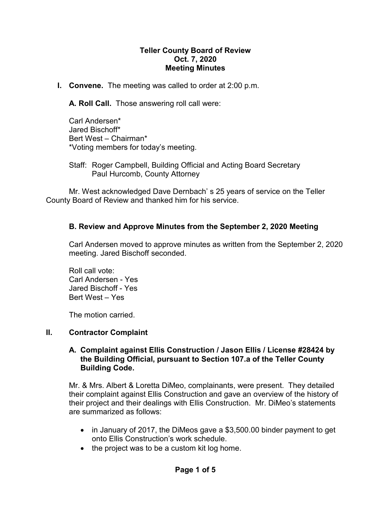## **Teller County Board of Review Oct. 7, 2020 Meeting Minutes**

**I. Convene.** The meeting was called to order at 2:00 p.m.

**A. Roll Call.** Those answering roll call were:

Carl Andersen\* Jared Bischoff\* Bert West – Chairman\* \*Voting members for today's meeting.

Staff: Roger Campbell, Building Official and Acting Board Secretary Paul Hurcomb, County Attorney

Mr. West acknowledged Dave Dernbach' s 25 years of service on the Teller County Board of Review and thanked him for his service.

# **B. Review and Approve Minutes from the September 2, 2020 Meeting**

Carl Andersen moved to approve minutes as written from the September 2, 2020 meeting. Jared Bischoff seconded.

Roll call vote: Carl Andersen - Yes Jared Bischoff - Yes Bert West – Yes

The motion carried.

#### **II. Contractor Complaint**

## **A. Complaint against Ellis Construction / Jason Ellis / License #28424 by the Building Official, pursuant to Section 107.a of the Teller County Building Code.**

Mr. & Mrs. Albert & Loretta DiMeo, complainants, were present. They detailed their complaint against Ellis Construction and gave an overview of the history of their project and their dealings with Ellis Construction. Mr. DiMeo's statements are summarized as follows:

- in January of 2017, the DiMeos gave a \$3,500.00 binder payment to get onto Ellis Construction's work schedule.
- the project was to be a custom kit log home.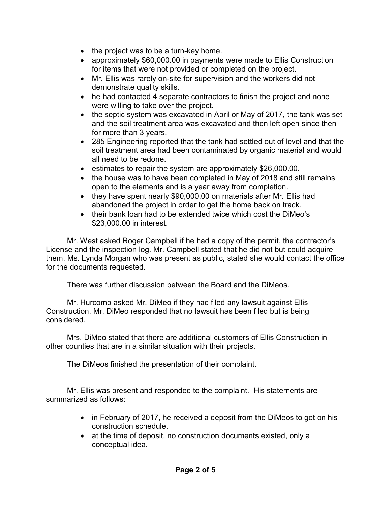- the project was to be a turn-key home.
- approximately \$60,000.00 in payments were made to Ellis Construction for items that were not provided or completed on the project.
- Mr. Ellis was rarely on-site for supervision and the workers did not demonstrate quality skills.
- he had contacted 4 separate contractors to finish the project and none were willing to take over the project.
- the septic system was excavated in April or May of 2017, the tank was set and the soil treatment area was excavated and then left open since then for more than 3 years.
- 285 Engineering reported that the tank had settled out of level and that the soil treatment area had been contaminated by organic material and would all need to be redone.
- estimates to repair the system are approximately \$26,000.00.
- the house was to have been completed in May of 2018 and still remains open to the elements and is a year away from completion.
- they have spent nearly \$90,000.00 on materials after Mr. Ellis had abandoned the project in order to get the home back on track.
- their bank loan had to be extended twice which cost the DiMeo's \$23,000.00 in interest.

Mr. West asked Roger Campbell if he had a copy of the permit, the contractor's License and the inspection log. Mr. Campbell stated that he did not but could acquire them. Ms. Lynda Morgan who was present as public, stated she would contact the office for the documents requested.

There was further discussion between the Board and the DiMeos.

Mr. Hurcomb asked Mr. DiMeo if they had filed any lawsuit against Ellis Construction. Mr. DiMeo responded that no lawsuit has been filed but is being considered.

Mrs. DiMeo stated that there are additional customers of Ellis Construction in other counties that are in a similar situation with their projects.

The DiMeos finished the presentation of their complaint.

Mr. Ellis was present and responded to the complaint. His statements are summarized as follows:

- in February of 2017, he received a deposit from the DiMeos to get on his construction schedule.
- at the time of deposit, no construction documents existed, only a conceptual idea.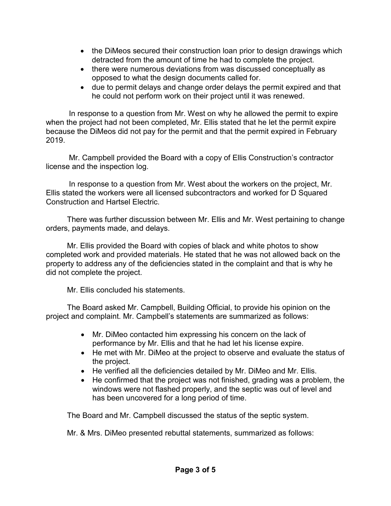- the DiMeos secured their construction loan prior to design drawings which detracted from the amount of time he had to complete the project.
- there were numerous deviations from was discussed conceptually as opposed to what the design documents called for.
- due to permit delays and change order delays the permit expired and that he could not perform work on their project until it was renewed.

In response to a question from Mr. West on why he allowed the permit to expire when the project had not been completed, Mr. Ellis stated that he let the permit expire because the DiMeos did not pay for the permit and that the permit expired in February 2019.

Mr. Campbell provided the Board with a copy of Ellis Construction's contractor license and the inspection log.

In response to a question from Mr. West about the workers on the project, Mr. Ellis stated the workers were all licensed subcontractors and worked for D Squared Construction and Hartsel Electric.

There was further discussion between Mr. Ellis and Mr. West pertaining to change orders, payments made, and delays.

Mr. Ellis provided the Board with copies of black and white photos to show completed work and provided materials. He stated that he was not allowed back on the property to address any of the deficiencies stated in the complaint and that is why he did not complete the project.

Mr. Ellis concluded his statements.

The Board asked Mr. Campbell, Building Official, to provide his opinion on the project and complaint. Mr. Campbell's statements are summarized as follows:

- Mr. DiMeo contacted him expressing his concern on the lack of performance by Mr. Ellis and that he had let his license expire.
- He met with Mr. DiMeo at the project to observe and evaluate the status of the project.
- He verified all the deficiencies detailed by Mr. DiMeo and Mr. Ellis.
- He confirmed that the project was not finished, grading was a problem, the windows were not flashed properly, and the septic was out of level and has been uncovered for a long period of time.

The Board and Mr. Campbell discussed the status of the septic system.

Mr. & Mrs. DiMeo presented rebuttal statements, summarized as follows: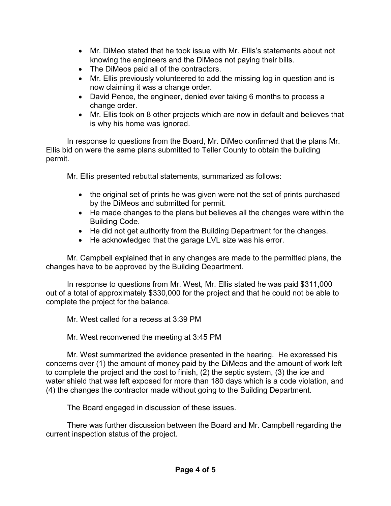- Mr. DiMeo stated that he took issue with Mr. Ellis's statements about not knowing the engineers and the DiMeos not paying their bills.
- The DiMeos paid all of the contractors.
- Mr. Ellis previously volunteered to add the missing log in question and is now claiming it was a change order.
- David Pence, the engineer, denied ever taking 6 months to process a change order.
- Mr. Ellis took on 8 other projects which are now in default and believes that is why his home was ignored.

In response to questions from the Board, Mr. DiMeo confirmed that the plans Mr. Ellis bid on were the same plans submitted to Teller County to obtain the building permit.

Mr. Ellis presented rebuttal statements, summarized as follows:

- the original set of prints he was given were not the set of prints purchased by the DiMeos and submitted for permit.
- He made changes to the plans but believes all the changes were within the Building Code.
- He did not get authority from the Building Department for the changes.
- He acknowledged that the garage LVL size was his error.

Mr. Campbell explained that in any changes are made to the permitted plans, the changes have to be approved by the Building Department.

In response to questions from Mr. West, Mr. Ellis stated he was paid \$311,000 out of a total of approximately \$330,000 for the project and that he could not be able to complete the project for the balance.

Mr. West called for a recess at 3:39 PM

Mr. West reconvened the meeting at 3:45 PM

Mr. West summarized the evidence presented in the hearing. He expressed his concerns over (1) the amount of money paid by the DiMeos and the amount of work left to complete the project and the cost to finish, (2) the septic system, (3) the ice and water shield that was left exposed for more than 180 days which is a code violation, and (4) the changes the contractor made without going to the Building Department.

The Board engaged in discussion of these issues.

There was further discussion between the Board and Mr. Campbell regarding the current inspection status of the project.